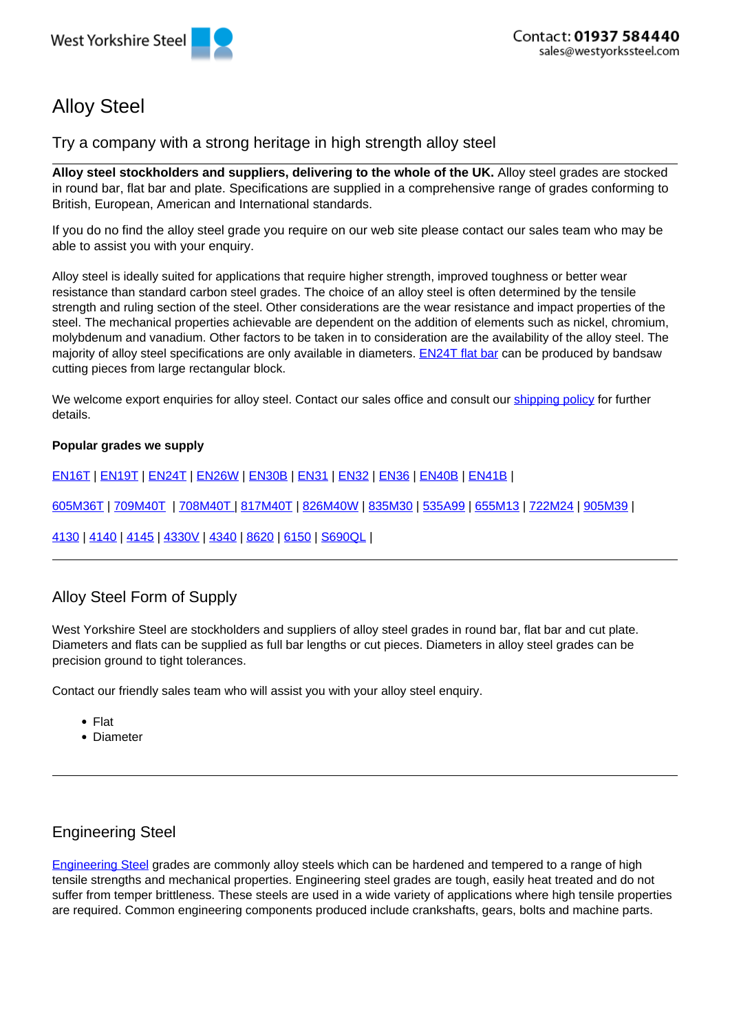# Alloy Steel

Try a company with a strong heritage in high strength alloy steel

**Alloy steel stockholders and suppliers, delivering to the whole of the UK.** Alloy steel grades are stocked in round bar, flat bar and plate. Specifications are supplied in a comprehensive range of grades conforming to British, European, American and International standards.

If you do no find the alloy steel grade you require on our web site please contact our sales team who may be able to assist you with your enquiry.

Alloy steel is ideally suited for applications that require higher strength, improved toughness or better wear resistance than standard carbon steel grades. The choice of an alloy steel is often determined by the tensile strength and ruling section of the steel. Other considerations are the wear resistance and impact properties of the steel. The mechanical properties achievable are dependent on the addition of elements such as nickel, chromium, molybdenum and vanadium. Other factors to be taken in to consideration are the availability of the alloy steel. The majority of alloy steel specifications are only available in diameters. EN24T flat bar can be produced by bandsaw cutting pieces from large rectangular block.

We welcome export enquiries for alloy steel. Contact our sales office and consult our shipping policy for further details.

#### **Popular grades we supply**

EN16T | EN19T | EN24T | EN26W | EN30B | EN31 | EN32 | EN36 | EN40B | EN41B |

605M36T | 709M40T | 708M40T | 817M40T | 826M40W | 835M30 | 535A99 | 655M13 | 722M24 | 905M39 |

4130 | 4140 | 4145 | 4330V | 4340 | 8620 | 6150 | S690QL |

# Alloy Steel Form of Supply

West Yorkshire Steel are stockholders and suppliers of alloy steel grades in round bar, flat bar and cut plate. Diameters and flats can be supplied as full bar lengths or cut pieces. Diameters in alloy steel grades can be precision ground to tight tolerances.

Contact our friendly sales team who will assist you with your alloy steel enquiry.

- Flat
- Diameter

# Engineering Steel

Engineering Steel grades are commonly alloy steels which can be hardened and tempered to a range of high tensile strengths and mechanical properties. Engineering steel grades are tough, easily heat treated and do not suffer from temper brittleness. These steels are used in a wide variety of applications where high tensile properties are required. Common engineering components produced include crankshafts, gears, bolts and machine parts.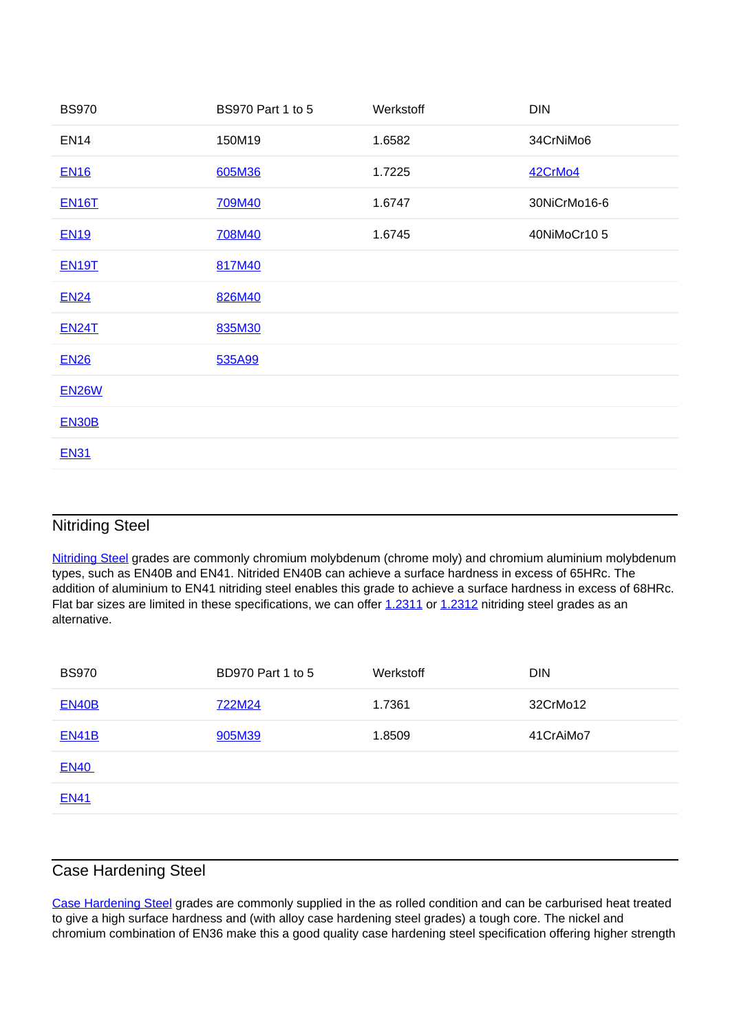| <b>BS970</b> | <b>BS970 Part 1 to 5</b> | Werkstoff | <b>DIN</b>   |
|--------------|--------------------------|-----------|--------------|
| <b>EN14</b>  | 150M19                   | 1.6582    | 34CrNiMo6    |
| <b>EN16</b>  | 605M36                   | 1.7225    | 42CrMo4      |
| <b>EN16T</b> | 709M40                   | 1.6747    | 30NiCrMo16-6 |
| <b>EN19</b>  | 708M40                   | 1.6745    | 40NiMoCr105  |
| <b>EN19T</b> | 817M40                   |           |              |
| <b>EN24</b>  | 826M40                   |           |              |
| <b>EN24T</b> | 835M30                   |           |              |
| <b>EN26</b>  | 535A99                   |           |              |
| <b>EN26W</b> |                          |           |              |
| <b>EN30B</b> |                          |           |              |
| <b>EN31</b>  |                          |           |              |

### Nitriding Steel

Nitriding Steel grades are commonly chromium molybdenum (chrome moly) and chromium aluminium molybdenum types, such as EN40B and EN41. Nitrided EN40B can achieve a surface hardness in excess of 65HRc. The addition of aluminium to EN41 nitriding steel enables this grade to achieve a surface hardness in excess of 68HRc. Flat bar sizes are limited in these specifications, we can offer 1.2311 or 1.2312 nitriding steel grades as an alternative.

| <b>BS970</b> | <b>BD970 Part 1 to 5</b> | Werkstoff | <b>DIN</b> |
|--------------|--------------------------|-----------|------------|
| <b>EN40B</b> | 722M24                   | 1.7361    | 32CrMo12   |
| <b>EN41B</b> | 905M39                   | 1.8509    | 41CrAiMo7  |
| <b>EN40</b>  |                          |           |            |
| <b>EN41</b>  |                          |           |            |
|              |                          |           |            |

#### Case Hardening Steel

Case Hardening Steel grades are commonly supplied in the as rolled condition and can be carburised heat treated to give a high surface hardness and (with alloy case hardening steel grades) a tough core. The nickel and chromium combination of EN36 make this a good quality case hardening steel specification offering higher strength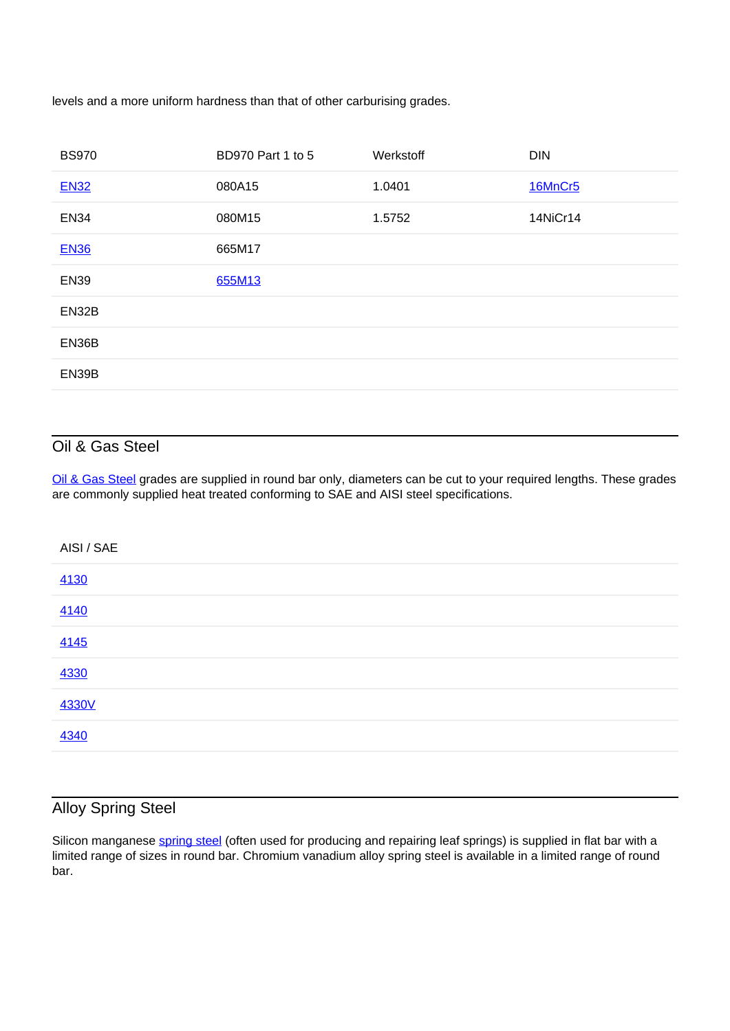levels and a more uniform hardness than that of other carburising grades.

| <b>BS970</b> | <b>BD970 Part 1 to 5</b> | Werkstoff | <b>DIN</b> |
|--------------|--------------------------|-----------|------------|
| <b>EN32</b>  | 080A15                   | 1.0401    | 16MnCr5    |
| <b>EN34</b>  | 080M15                   | 1.5752    | 14NiCr14   |
| <b>EN36</b>  | 665M17                   |           |            |
| <b>EN39</b>  | 655M13                   |           |            |
| EN32B        |                          |           |            |
| EN36B        |                          |           |            |
| EN39B        |                          |           |            |
|              |                          |           |            |

# Oil & Gas Steel

Oil & Gas Steel grades are supplied in round bar only, diameters can be cut to your required lengths. These grades are commonly supplied heat treated conforming to SAE and AISI steel specifications.

| AISI / SAE |  |
|------------|--|
| 4130       |  |
| 4140       |  |
| 4145       |  |
| 4330       |  |
| 4330V      |  |
| 4340       |  |

# Alloy Spring Steel

Silicon manganese spring steel (often used for producing and repairing leaf springs) is supplied in flat bar with a limited range of sizes in round bar. Chromium vanadium alloy spring steel is available in a limited range of round bar.